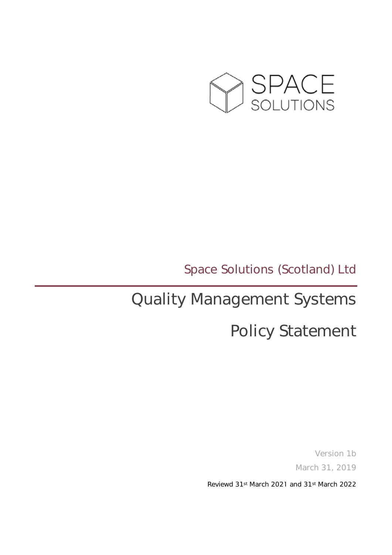

### Space Solutions (Scotland) Ltd

# Quality Management Systems

## Policy Statement

Version 1b March 31, 2019

Reviewd 31st March 2021 and 31st March 2022